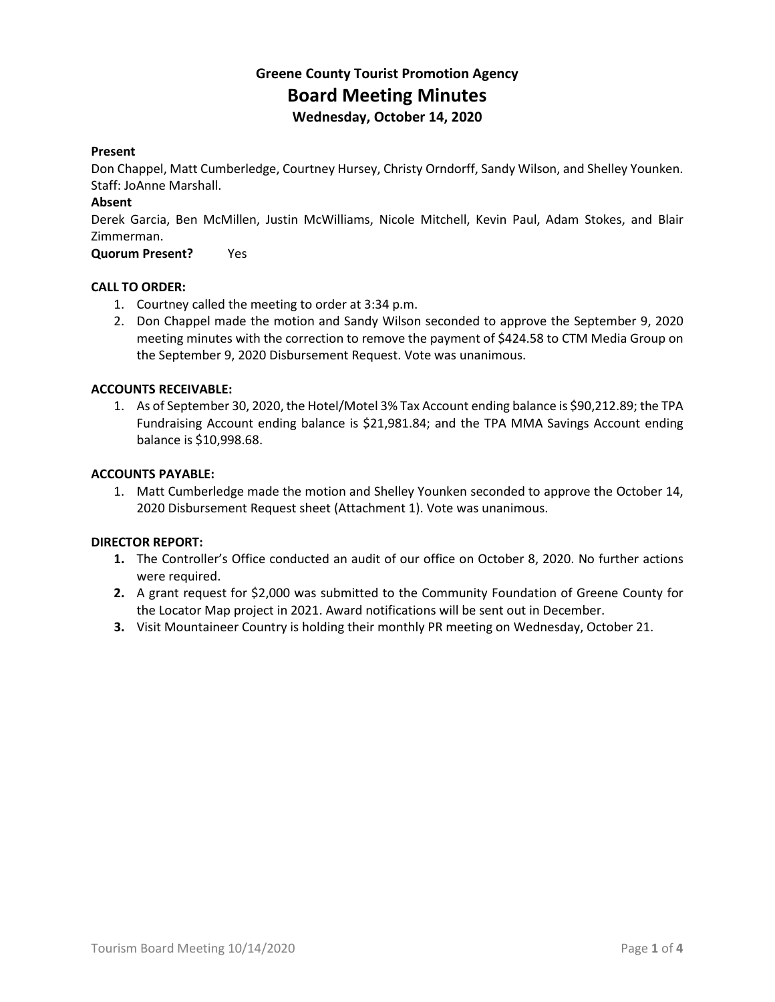## **Greene County Tourist Promotion Agency Board Meeting Minutes Wednesday, October 14, 2020**

## **Present**

Don Chappel, Matt Cumberledge, Courtney Hursey, Christy Orndorff, Sandy Wilson, and Shelley Younken. Staff: JoAnne Marshall.

## **Absent**

Derek Garcia, Ben McMillen, Justin McWilliams, Nicole Mitchell, Kevin Paul, Adam Stokes, and Blair Zimmerman.

**Quorum Present?** Yes

## **CALL TO ORDER:**

- 1. Courtney called the meeting to order at 3:34 p.m.
- 2. Don Chappel made the motion and Sandy Wilson seconded to approve the September 9, 2020 meeting minutes with the correction to remove the payment of \$424.58 to CTM Media Group on the September 9, 2020 Disbursement Request. Vote was unanimous.

## **ACCOUNTS RECEIVABLE:**

1. As of September 30, 2020, the Hotel/Motel 3% Tax Account ending balance is \$90,212.89; the TPA Fundraising Account ending balance is \$21,981.84; and the TPA MMA Savings Account ending balance is \$10,998.68.

#### **ACCOUNTS PAYABLE:**

1. Matt Cumberledge made the motion and Shelley Younken seconded to approve the October 14, 2020 Disbursement Request sheet (Attachment 1). Vote was unanimous.

## **DIRECTOR REPORT:**

- **1.** The Controller's Office conducted an audit of our office on October 8, 2020. No further actions were required.
- **2.** A grant request for \$2,000 was submitted to the Community Foundation of Greene County for the Locator Map project in 2021. Award notifications will be sent out in December.
- **3.** Visit Mountaineer Country is holding their monthly PR meeting on Wednesday, October 21.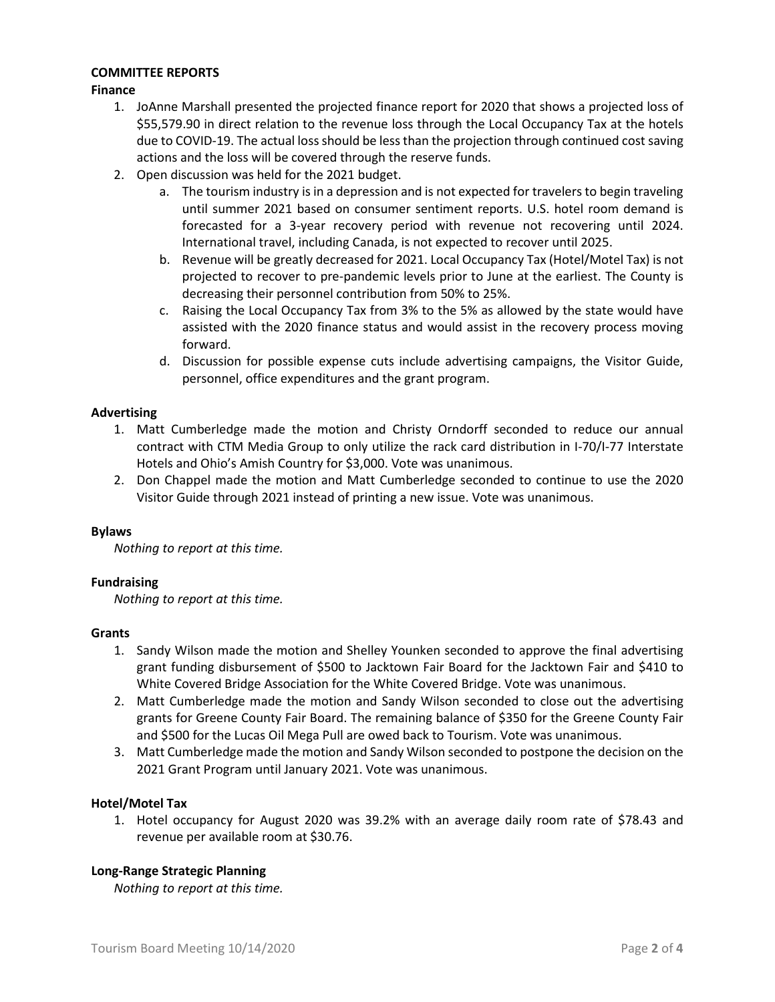## **COMMITTEE REPORTS**

## **Finance**

- 1. JoAnne Marshall presented the projected finance report for 2020 that shows a projected loss of \$55,579.90 in direct relation to the revenue loss through the Local Occupancy Tax at the hotels due to COVID-19. The actual loss should be less than the projection through continued cost saving actions and the loss will be covered through the reserve funds.
- 2. Open discussion was held for the 2021 budget.
	- a. The tourism industry is in a depression and is not expected for travelers to begin traveling until summer 2021 based on consumer sentiment reports. U.S. hotel room demand is forecasted for a 3-year recovery period with revenue not recovering until 2024. International travel, including Canada, is not expected to recover until 2025.
	- b. Revenue will be greatly decreased for 2021. Local Occupancy Tax (Hotel/Motel Tax) is not projected to recover to pre-pandemic levels prior to June at the earliest. The County is decreasing their personnel contribution from 50% to 25%.
	- c. Raising the Local Occupancy Tax from 3% to the 5% as allowed by the state would have assisted with the 2020 finance status and would assist in the recovery process moving forward.
	- d. Discussion for possible expense cuts include advertising campaigns, the Visitor Guide, personnel, office expenditures and the grant program.

## **Advertising**

- 1. Matt Cumberledge made the motion and Christy Orndorff seconded to reduce our annual contract with CTM Media Group to only utilize the rack card distribution in I-70/I-77 Interstate Hotels and Ohio's Amish Country for \$3,000. Vote was unanimous.
- 2. Don Chappel made the motion and Matt Cumberledge seconded to continue to use the 2020 Visitor Guide through 2021 instead of printing a new issue. Vote was unanimous.

#### **Bylaws**

*Nothing to report at this time.*

#### **Fundraising**

*Nothing to report at this time.*

#### **Grants**

- 1. Sandy Wilson made the motion and Shelley Younken seconded to approve the final advertising grant funding disbursement of \$500 to Jacktown Fair Board for the Jacktown Fair and \$410 to White Covered Bridge Association for the White Covered Bridge. Vote was unanimous.
- 2. Matt Cumberledge made the motion and Sandy Wilson seconded to close out the advertising grants for Greene County Fair Board. The remaining balance of \$350 for the Greene County Fair and \$500 for the Lucas Oil Mega Pull are owed back to Tourism. Vote was unanimous.
- 3. Matt Cumberledge made the motion and Sandy Wilson seconded to postpone the decision on the 2021 Grant Program until January 2021. Vote was unanimous.

## **Hotel/Motel Tax**

1. Hotel occupancy for August 2020 was 39.2% with an average daily room rate of \$78.43 and revenue per available room at \$30.76.

#### **Long-Range Strategic Planning**

*Nothing to report at this time.*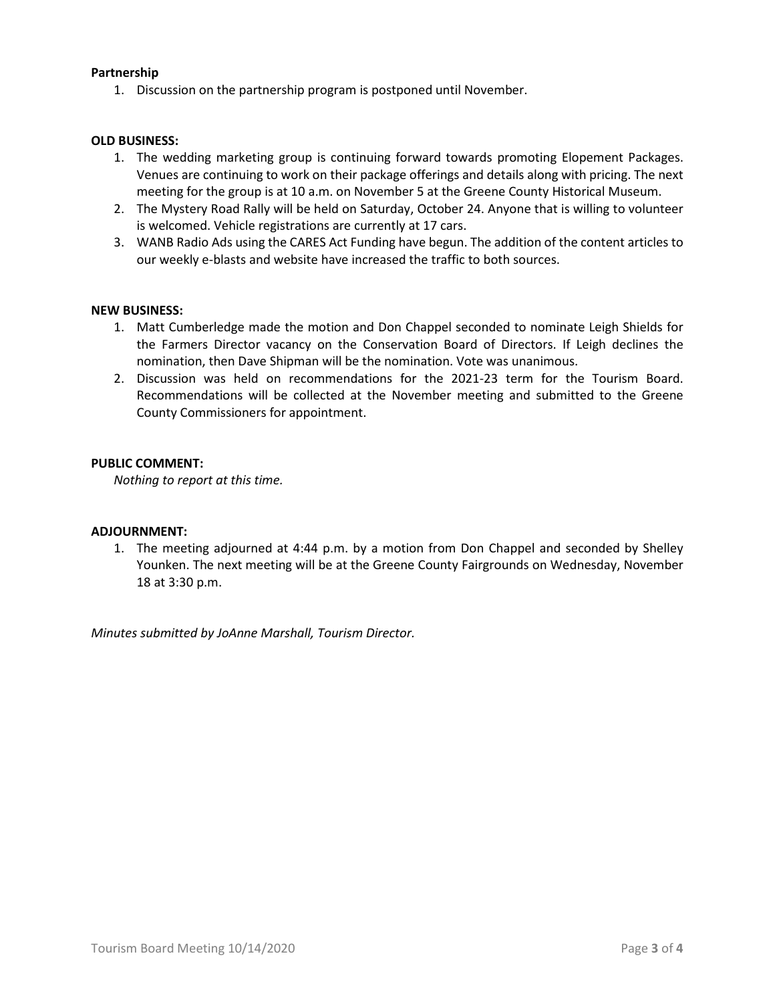## **Partnership**

1. Discussion on the partnership program is postponed until November.

#### **OLD BUSINESS:**

- 1. The wedding marketing group is continuing forward towards promoting Elopement Packages. Venues are continuing to work on their package offerings and details along with pricing. The next meeting for the group is at 10 a.m. on November 5 at the Greene County Historical Museum.
- 2. The Mystery Road Rally will be held on Saturday, October 24. Anyone that is willing to volunteer is welcomed. Vehicle registrations are currently at 17 cars.
- 3. WANB Radio Ads using the CARES Act Funding have begun. The addition of the content articles to our weekly e-blasts and website have increased the traffic to both sources.

#### **NEW BUSINESS:**

- 1. Matt Cumberledge made the motion and Don Chappel seconded to nominate Leigh Shields for the Farmers Director vacancy on the Conservation Board of Directors. If Leigh declines the nomination, then Dave Shipman will be the nomination. Vote was unanimous.
- 2. Discussion was held on recommendations for the 2021-23 term for the Tourism Board. Recommendations will be collected at the November meeting and submitted to the Greene County Commissioners for appointment.

## **PUBLIC COMMENT:**

*Nothing to report at this time.*

#### **ADJOURNMENT:**

1. The meeting adjourned at 4:44 p.m. by a motion from Don Chappel and seconded by Shelley Younken. The next meeting will be at the Greene County Fairgrounds on Wednesday, November 18 at 3:30 p.m.

*Minutes submitted by JoAnne Marshall, Tourism Director.*